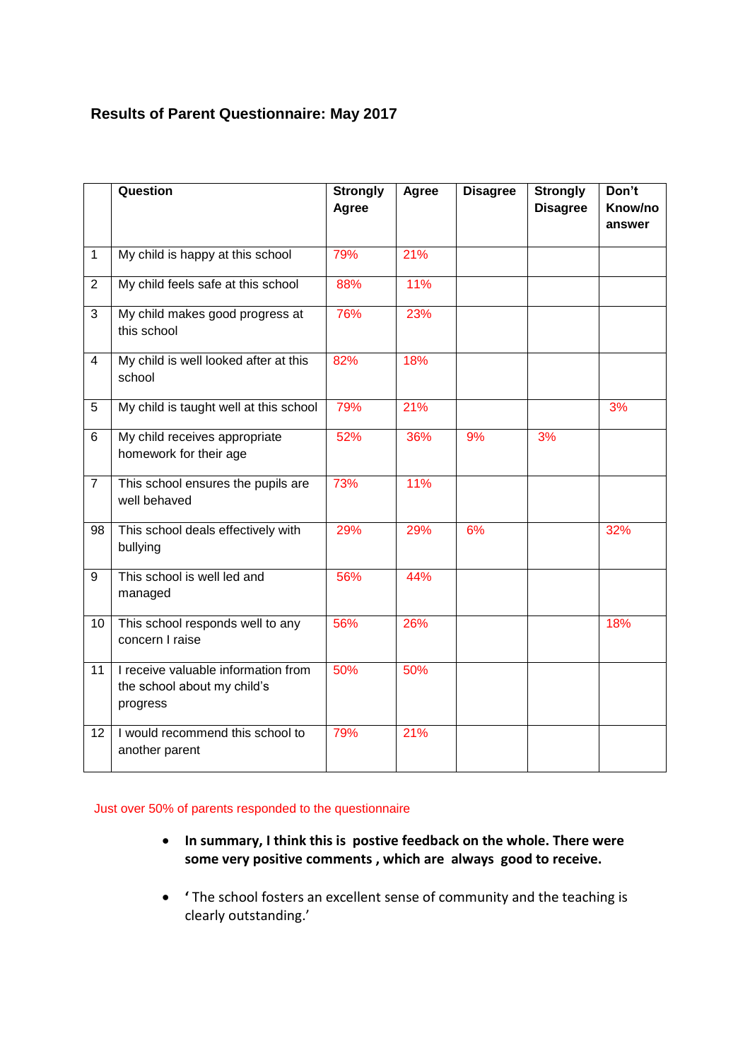## **Results of Parent Questionnaire: May 2017**

|                | Question                                                                       | <b>Strongly</b><br>Agree | Agree | <b>Disagree</b> | <b>Strongly</b><br><b>Disagree</b> | Don't<br>Know/no<br>answer |
|----------------|--------------------------------------------------------------------------------|--------------------------|-------|-----------------|------------------------------------|----------------------------|
| $\mathbf{1}$   | My child is happy at this school                                               | 79%                      | 21%   |                 |                                    |                            |
| $\overline{2}$ | My child feels safe at this school                                             | 88%                      | 11%   |                 |                                    |                            |
| $\overline{3}$ | My child makes good progress at<br>this school                                 | 76%                      | 23%   |                 |                                    |                            |
| $\overline{4}$ | My child is well looked after at this<br>school                                | 82%                      | 18%   |                 |                                    |                            |
| 5              | My child is taught well at this school                                         | 79%                      | 21%   |                 |                                    | 3%                         |
| 6              | My child receives appropriate<br>homework for their age                        | 52%                      | 36%   | 9%              | 3%                                 |                            |
| $\overline{7}$ | This school ensures the pupils are<br>well behaved                             | 73%                      | 11%   |                 |                                    |                            |
| 98             | This school deals effectively with<br>bullying                                 | 29%                      | 29%   | 6%              |                                    | 32%                        |
| 9              | This school is well led and<br>managed                                         | 56%                      | 44%   |                 |                                    |                            |
| 10             | This school responds well to any<br>concern I raise                            | 56%                      | 26%   |                 |                                    | 18%                        |
| 11             | I receive valuable information from<br>the school about my child's<br>progress | 50%                      | 50%   |                 |                                    |                            |
| 12             | I would recommend this school to<br>another parent                             | 79%                      | 21%   |                 |                                    |                            |

Just over 50% of parents responded to the questionnaire

- **In summary, I think this is postive feedback on the whole. There were some very positive comments , which are always good to receive.**
- **'** The school fosters an excellent sense of community and the teaching is clearly outstanding.'